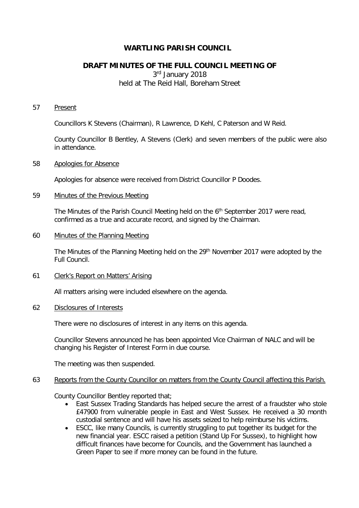# **WARTLING PARISH COUNCIL**

# **DRAFT MINUTES OF THE FULL COUNCIL MEETING OF**

3rd January 2018 held at The Reid Hall, Boreham Street

#### 57 Present

Councillors K Stevens (Chairman), R Lawrence, D Kehl, C Paterson and W Reid.

County Councillor B Bentley, A Stevens (Clerk) and seven members of the public were also in attendance.

## 58 Apologies for Absence

Apologies for absence were received from District Councillor P Doodes.

# 59 Minutes of the Previous Meeting

The Minutes of the Parish Council Meeting held on the  $6<sup>th</sup>$  September 2017 were read, confirmed as a true and accurate record, and signed by the Chairman.

# 60 Minutes of the Planning Meeting

The Minutes of the Planning Meeting held on the 29<sup>th</sup> November 2017 were adopted by the Full Council.

## 61 Clerk's Report on Matters' Arising

All matters arising were included elsewhere on the agenda.

# 62 Disclosures of Interests

There were no disclosures of interest in any items on this agenda.

Councillor Stevens announced he has been appointed Vice Chairman of NALC and will be changing his Register of Interest Form in due course.

The meeting was then suspended.

# 63 Reports from the County Councillor on matters from the County Council affecting this Parish.

County Councillor Bentley reported that;

- East Sussex Trading Standards has helped secure the arrest of a fraudster who stole £47900 from vulnerable people in East and West Sussex. He received a 30 month custodial sentence and will have his assets seized to help reimburse his victims.
- ESCC, like many Councils, is currently struggling to put together its budget for the new financial year. ESCC raised a petition (Stand Up For Sussex), to highlight how difficult finances have become for Councils, and the Government has launched a Green Paper to see if more money can be found in the future.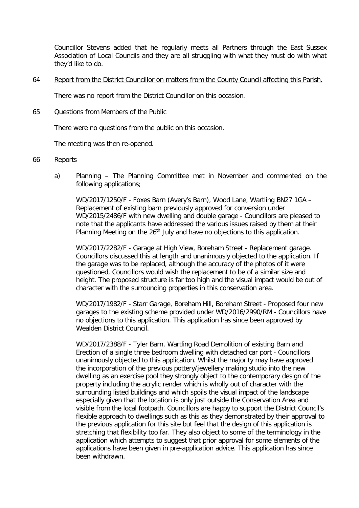Councillor Stevens added that he regularly meets all Partners through the East Sussex Association of Local Councils and they are all struggling with what they must do with what they'd like to do.

64 Report from the District Councillor on matters from the County Council affecting this Parish.

There was no report from the District Councillor on this occasion.

65 Questions from Members of the Public

There were no questions from the public on this occasion.

The meeting was then re-opened.

## 66 Reports

a) Planning – The Planning Committee met in November and commented on the following applications;

WD/2017/1250/F - Foxes Barn (Avery's Barn), Wood Lane, Wartling BN27 1GA – Replacement of existing barn previously approved for conversion under WD/2015/2486/F with new dwelling and double garage - Councillors are pleased to note that the applicants have addressed the various issues raised by them at their Planning Meeting on the 26<sup>th</sup> July and have no objections to this application.

 WD/2017/2282/F - Garage at High View, Boreham Street - Replacement garage. Councillors discussed this at length and unanimously objected to the application. If the garage was to be replaced, although the accuracy of the photos of it were questioned, Councillors would wish the replacement to be of a similar size and height. The proposed structure is far too high and the visual impact would be out of character with the surrounding properties in this conservation area.

 WD/2017/1982/F - Starr Garage, Boreham Hill, Boreham Street - Proposed four new garages to the existing scheme provided under WD/2016/2990/RM - Councillors have no objections to this application. This application has since been approved by Wealden District Council.

 WD/2017/2388/F - Tyler Barn, Wartling Road Demolition of existing Barn and Erection of a single three bedroom dwelling with detached car port - Councillors unanimously objected to this application. Whilst the majority may have approved the incorporation of the previous pottery/jewellery making studio into the new dwelling as an exercise pool they strongly object to the contemporary design of the property including the acrylic render which is wholly out of character with the surrounding listed buildings and which spoils the visual impact of the landscape especially given that the location is only just outside the Conservation Area and visible from the local footpath. Councillors are happy to support the District Council's flexible approach to dwellings such as this as they demonstrated by their approval to the previous application for this site but feel that the design of this application is stretching that flexibility too far. They also object to some of the terminology in the application which attempts to suggest that prior approval for some elements of the applications have been given in pre-application advice. This application has since been withdrawn.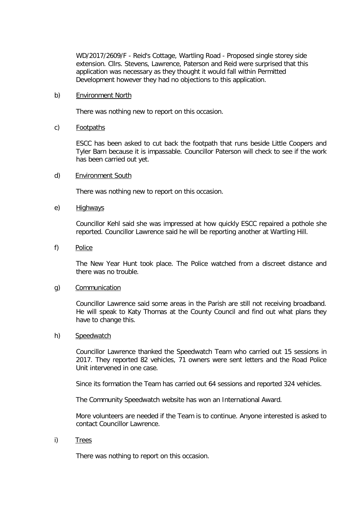WD/2017/2609/F - Reid's Cottage, Wartling Road - Proposed single storey side extension. Cllrs. Stevens, Lawrence, Paterson and Reid were surprised that this application was necessary as they thought it would fall within Permitted Development however they had no objections to this application.

## b) Environment North

There was nothing new to report on this occasion.

# c) Footpaths

ESCC has been asked to cut back the footpath that runs beside Little Coopers and Tyler Barn because it is impassable. Councillor Paterson will check to see if the work has been carried out yet.

# d) Environment South

There was nothing new to report on this occasion.

## e) Highways

Councillor Kehl said she was impressed at how quickly ESCC repaired a pothole she reported. Councillor Lawrence said he will be reporting another at Wartling Hill.

f) Police

The New Year Hunt took place. The Police watched from a discreet distance and there was no trouble.

## g) Communication

Councillor Lawrence said some areas in the Parish are still not receiving broadband. He will speak to Katy Thomas at the County Council and find out what plans they have to change this.

## h) Speedwatch

Councillor Lawrence thanked the Speedwatch Team who carried out 15 sessions in 2017. They reported 82 vehicles, 71 owners were sent letters and the Road Police Unit intervened in one case.

Since its formation the Team has carried out 64 sessions and reported 324 vehicles.

The Community Speedwatch website has won an International Award.

More volunteers are needed if the Team is to continue. Anyone interested is asked to contact Councillor Lawrence.

i) Trees

There was nothing to report on this occasion.